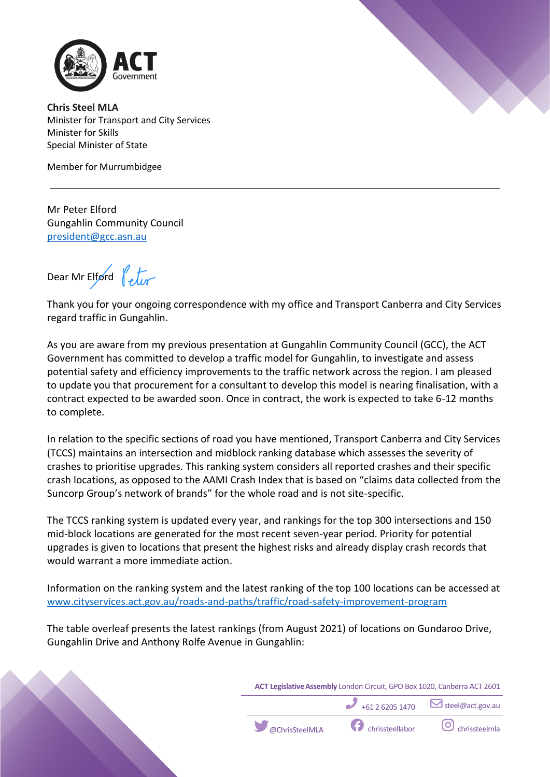



**Chris Steel MLA** Minister for Transport and City Services Minister for Skills Special Minister of State

Member for Murrumbidgee

Mr Peter Elford Gungahlin Community Council president@gcc.asn.au

Dear Mr Elford  $\int_{\mathcal{U}}$ 

Thank you for your ongoing correspondence with my office and Transport Canberra and City Services regard traffic in Gungahlin.

As you are aware from my previous presentation at Gungahlin Community Council (GCC), the ACT Government has committed to develop a traffic model for Gungahlin, to investigate and assess potential safety and efficiency improvements to the traffic network across the region. I am pleased to update you that procurement for a consultant to develop this model is nearing finalisation, with a contract expected to be awarded soon. Once in contract, the work is expected to take 6-12 months to complete.

In relation to the specific sections of road you have mentioned, Transport Canberra and City Services (TCCS) maintains an intersection and midblock ranking database which assesses the severity of crashes to prioritise upgrades. This ranking system considers all reported crashes and their specific crash locations, as opposed to the AAMI Crash Index that is based on "claims data collected from the Suncorp Group's network of brands" for the whole road and is not site-specific.

The TCCS ranking system is updated every year, and rankings for the top 300 intersections and 150 mid-block locations are generated for the most recent seven-year period. Priority for potential upgrades is given to locations that present the highest risks and already display crash records that would warrant a more immediate action.

Information on the ranking system and the latest ranking of the top 100 locations can be accessed at www.cityservices.act.gov.au/roads-and-paths/traffic/road-safety-improvement-program

The table overleaf presents the latest rankings (from August 2021) of locations on Gundaroo Drive, Gungahlin Drive and Anthony Rolfe Avenue in Gungahlin:



+61 2 6205 1470 **Steel@act.gov.au** 

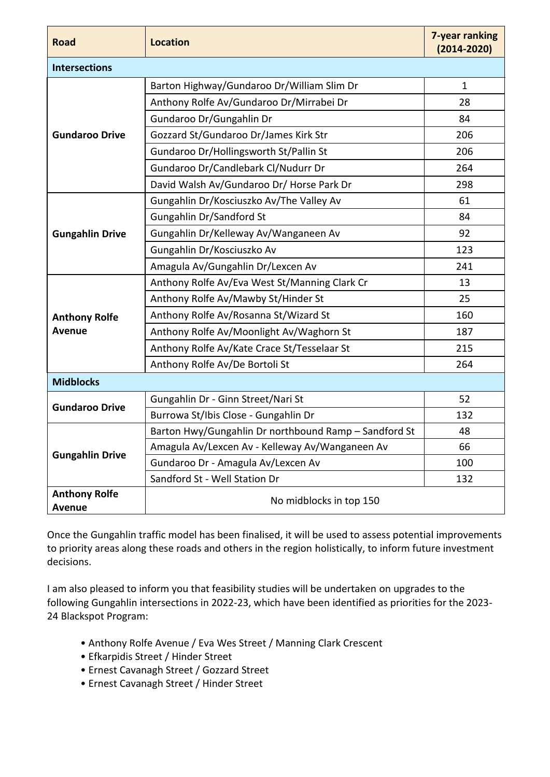| <b>Road</b>                           | <b>Location</b>                                       | 7-year ranking<br>$(2014 - 2020)$ |
|---------------------------------------|-------------------------------------------------------|-----------------------------------|
| <b>Intersections</b>                  |                                                       |                                   |
| <b>Gundaroo Drive</b>                 | Barton Highway/Gundaroo Dr/William Slim Dr            | $\mathbf{1}$                      |
|                                       | Anthony Rolfe Av/Gundaroo Dr/Mirrabei Dr              | 28                                |
|                                       | Gundaroo Dr/Gungahlin Dr                              | 84                                |
|                                       | Gozzard St/Gundaroo Dr/James Kirk Str                 | 206                               |
|                                       | Gundaroo Dr/Hollingsworth St/Pallin St                | 206                               |
|                                       | Gundaroo Dr/Candlebark Cl/Nudurr Dr                   | 264                               |
|                                       | David Walsh Av/Gundaroo Dr/ Horse Park Dr             | 298                               |
| <b>Gungahlin Drive</b>                | Gungahlin Dr/Kosciuszko Av/The Valley Av              | 61                                |
|                                       | Gungahlin Dr/Sandford St                              | 84                                |
|                                       | Gungahlin Dr/Kelleway Av/Wanganeen Av                 | 92                                |
|                                       | Gungahlin Dr/Kosciuszko Av                            | 123                               |
|                                       | Amagula Av/Gungahlin Dr/Lexcen Av                     | 241                               |
| <b>Anthony Rolfe</b><br><b>Avenue</b> | Anthony Rolfe Av/Eva West St/Manning Clark Cr         | 13                                |
|                                       | Anthony Rolfe Av/Mawby St/Hinder St                   | 25                                |
|                                       | Anthony Rolfe Av/Rosanna St/Wizard St                 | 160                               |
|                                       | Anthony Rolfe Av/Moonlight Av/Waghorn St              | 187                               |
|                                       | Anthony Rolfe Av/Kate Crace St/Tesselaar St           | 215                               |
|                                       | Anthony Rolfe Av/De Bortoli St                        | 264                               |
| <b>Midblocks</b>                      |                                                       |                                   |
| <b>Gundaroo Drive</b>                 | Gungahlin Dr - Ginn Street/Nari St                    | 52                                |
|                                       | Burrowa St/Ibis Close - Gungahlin Dr                  | 132                               |
| <b>Gungahlin Drive</b>                | Barton Hwy/Gungahlin Dr northbound Ramp - Sandford St | 48                                |
|                                       | Amagula Av/Lexcen Av - Kelleway Av/Wanganeen Av       | 66                                |
|                                       | Gundaroo Dr - Amagula Av/Lexcen Av                    | 100                               |
|                                       | Sandford St - Well Station Dr                         | 132                               |
| <b>Anthony Rolfe</b>                  | No midblocks in top 150                               |                                   |
| <b>Avenue</b>                         |                                                       |                                   |

Once the Gungahlin traffic model has been finalised, it will be used to assess potential improvements to priority areas along these roads and others in the region holistically, to inform future investment decisions.

I am also pleased to inform you that feasibility studies will be undertaken on upgrades to the following Gungahlin intersections in 2022-23, which have been identified as priorities for the 2023- 24 Blackspot Program:

- Anthony Rolfe Avenue / Eva Wes Street / Manning Clark Crescent
- Efkarpidis Street / Hinder Street
- Ernest Cavanagh Street / Gozzard Street
- Ernest Cavanagh Street / Hinder Street